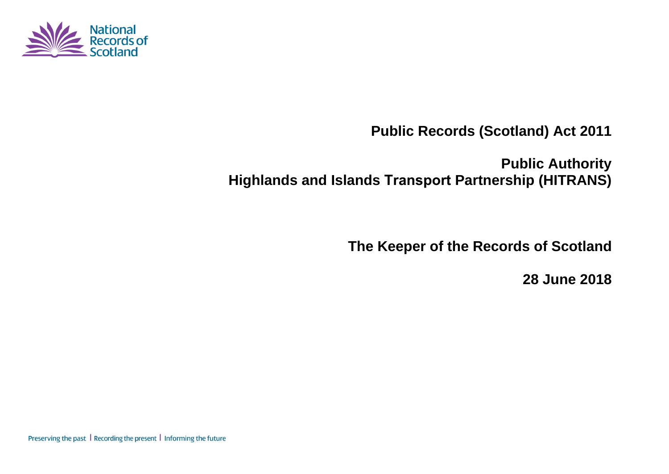

**Public Records (Scotland) Act 2011** 

**Public Authority Highlands and Islands Transport Partnership (HITRANS)** 

**The Keeper of the Records of Scotland** 

**28 June 2018**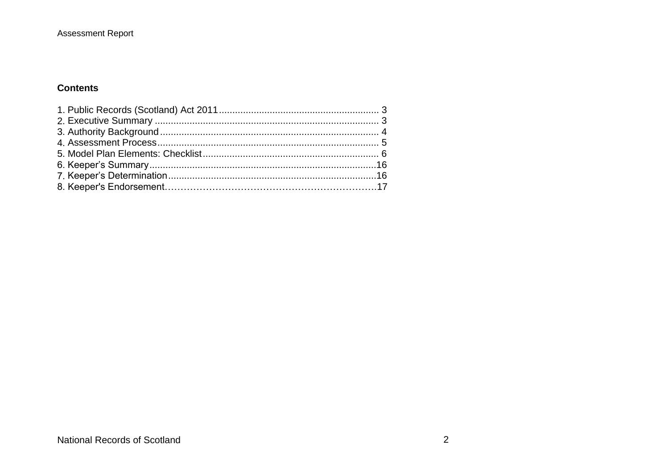### **Contents**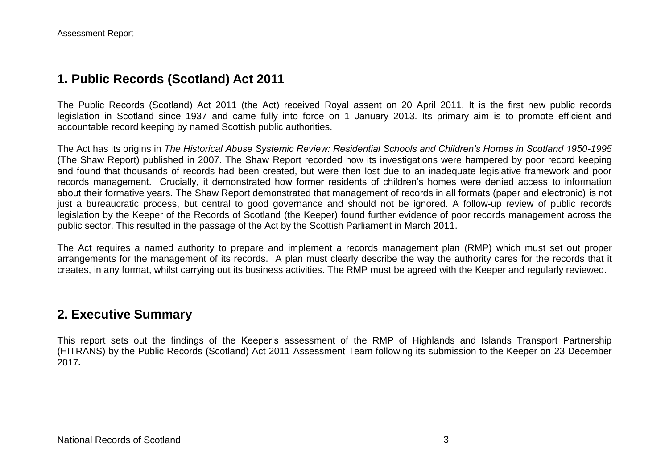## **1. Public Records (Scotland) Act 2011**

The Public Records (Scotland) Act 2011 (the Act) received Royal assent on 20 April 2011. It is the first new public records legislation in Scotland since 1937 and came fully into force on 1 January 2013. Its primary aim is to promote efficient and accountable record keeping by named Scottish public authorities.

The Act has its origins in *The Historical Abuse Systemic Review: Residential Schools and Children's Homes in Scotland 1950-1995* (The Shaw Report) published in 2007. The Shaw Report recorded how its investigations were hampered by poor record keeping and found that thousands of records had been created, but were then lost due to an inadequate legislative framework and poor records management. Crucially, it demonstrated how former residents of children's homes were denied access to information about their formative years. The Shaw Report demonstrated that management of records in all formats (paper and electronic) is not just a bureaucratic process, but central to good governance and should not be ignored. A follow-up review of public records legislation by the Keeper of the Records of Scotland (the Keeper) found further evidence of poor records management across the public sector. This resulted in the passage of the Act by the Scottish Parliament in March 2011.

The Act requires a named authority to prepare and implement a records management plan (RMP) which must set out proper arrangements for the management of its records. A plan must clearly describe the way the authority cares for the records that it creates, in any format, whilst carrying out its business activities. The RMP must be agreed with the Keeper and regularly reviewed.

### **2. Executive Summary**

This report sets out the findings of the Keeper's assessment of the RMP of Highlands and Islands Transport Partnership (HITRANS) by the Public Records (Scotland) Act 2011 Assessment Team following its submission to the Keeper on 23 December 2017*.*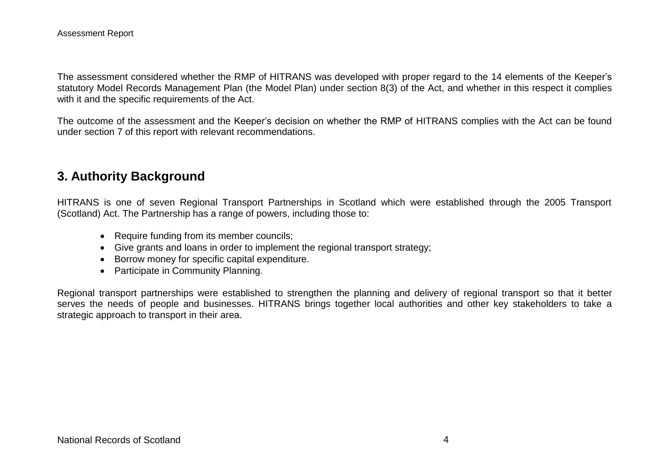The assessment considered whether the RMP of HITRANS was developed with proper regard to the 14 elements of the Keeper's statutory Model Records Management Plan (the Model Plan) under section 8(3) of the Act, and whether in this respect it complies with it and the specific requirements of the Act.

The outcome of the assessment and the Keeper's decision on whether the RMP of HITRANS complies with the Act can be found under section 7 of this report with relevant recommendations.

## **3. Authority Background**

HITRANS is one of seven Regional Transport Partnerships in Scotland which were established through the 2005 Transport (Scotland) Act. The Partnership has a range of powers, including those to:

- Require funding from its member councils;
- Give grants and loans in order to implement the regional transport strategy;
- Borrow money for specific capital expenditure.
- Participate in Community Planning.

Regional transport partnerships were established to strengthen the planning and delivery of regional transport so that it better serves the needs of people and businesses. HITRANS brings together local authorities and other key stakeholders to take a strategic approach to transport in their area.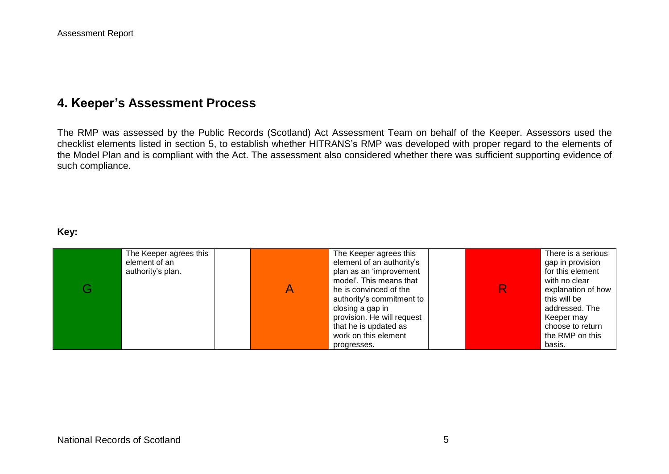# **4. Keeper's Assessment Process**

The RMP was assessed by the Public Records (Scotland) Act Assessment Team on behalf of the Keeper. Assessors used the checklist elements listed in section 5, to establish whether HITRANS's RMP was developed with proper regard to the elements of the Model Plan and is compliant with the Act. The assessment also considered whether there was sufficient supporting evidence of such compliance.

#### **Key:**

| The Keeper agrees this<br>element of an<br>authority's plan. | The Keeper agrees this<br>element of an authority's<br>plan as an 'improvement<br>model'. This means that<br>he is convinced of the<br>authority's commitment to<br>closing a gap in<br>provision. He will request<br>that he is updated as | There is a serious<br>gap in provision<br>for this element<br>with no clear<br>explanation of how<br>this will be<br>addressed. The<br>Keeper may<br>choose to return |
|--------------------------------------------------------------|---------------------------------------------------------------------------------------------------------------------------------------------------------------------------------------------------------------------------------------------|-----------------------------------------------------------------------------------------------------------------------------------------------------------------------|
|                                                              | work on this element<br>progresses.                                                                                                                                                                                                         | the RMP on this<br>basis.                                                                                                                                             |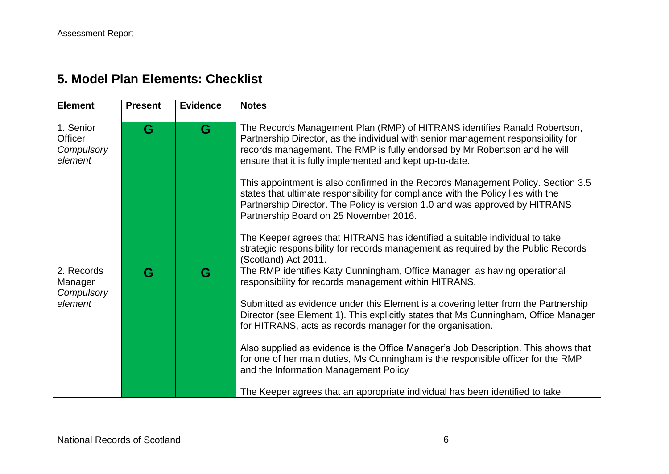# **5. Model Plan Elements: Checklist**

| <b>Element</b>                                 | <b>Present</b> | <b>Evidence</b> | <b>Notes</b>                                                                                                                                                                                                                                                                                                                                                                                                                                                                                                                                                                                                                                                                                                                                                                                         |
|------------------------------------------------|----------------|-----------------|------------------------------------------------------------------------------------------------------------------------------------------------------------------------------------------------------------------------------------------------------------------------------------------------------------------------------------------------------------------------------------------------------------------------------------------------------------------------------------------------------------------------------------------------------------------------------------------------------------------------------------------------------------------------------------------------------------------------------------------------------------------------------------------------------|
| 1. Senior<br>Officer<br>Compulsory<br>element  | G              | G               | The Records Management Plan (RMP) of HITRANS identifies Ranald Robertson,<br>Partnership Director, as the individual with senior management responsibility for<br>records management. The RMP is fully endorsed by Mr Robertson and he will<br>ensure that it is fully implemented and kept up-to-date.<br>This appointment is also confirmed in the Records Management Policy. Section 3.5<br>states that ultimate responsibility for compliance with the Policy lies with the<br>Partnership Director. The Policy is version 1.0 and was approved by HITRANS<br>Partnership Board on 25 November 2016.<br>The Keeper agrees that HITRANS has identified a suitable individual to take<br>strategic responsibility for records management as required by the Public Records<br>(Scotland) Act 2011. |
| 2. Records<br>Manager<br>Compulsory<br>element | G              | G               | The RMP identifies Katy Cunningham, Office Manager, as having operational<br>responsibility for records management within HITRANS.<br>Submitted as evidence under this Element is a covering letter from the Partnership<br>Director (see Element 1). This explicitly states that Ms Cunningham, Office Manager<br>for HITRANS, acts as records manager for the organisation.<br>Also supplied as evidence is the Office Manager's Job Description. This shows that<br>for one of her main duties, Ms Cunningham is the responsible officer for the RMP<br>and the Information Management Policy<br>The Keeper agrees that an appropriate individual has been identified to take                                                                                                                     |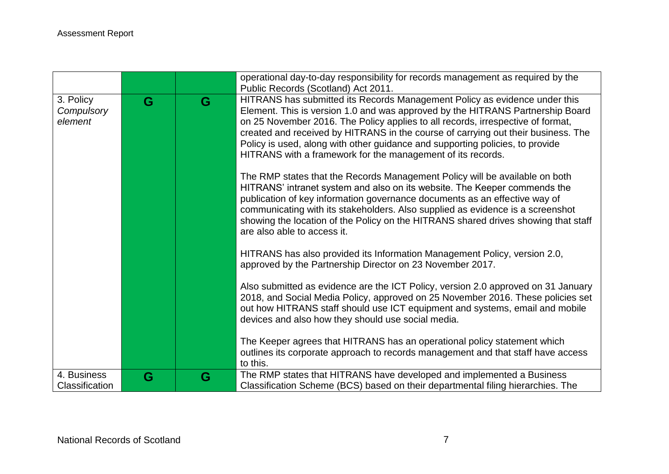|                                    |   |   | operational day-to-day responsibility for records management as required by the<br>Public Records (Scotland) Act 2011.                                                                                                                                                                                                                                                                                                                                                               |
|------------------------------------|---|---|--------------------------------------------------------------------------------------------------------------------------------------------------------------------------------------------------------------------------------------------------------------------------------------------------------------------------------------------------------------------------------------------------------------------------------------------------------------------------------------|
| 3. Policy<br>Compulsory<br>element | G | G | HITRANS has submitted its Records Management Policy as evidence under this<br>Element. This is version 1.0 and was approved by the HITRANS Partnership Board<br>on 25 November 2016. The Policy applies to all records, irrespective of format,<br>created and received by HITRANS in the course of carrying out their business. The<br>Policy is used, along with other guidance and supporting policies, to provide<br>HITRANS with a framework for the management of its records. |
|                                    |   |   | The RMP states that the Records Management Policy will be available on both<br>HITRANS' intranet system and also on its website. The Keeper commends the<br>publication of key information governance documents as an effective way of<br>communicating with its stakeholders. Also supplied as evidence is a screenshot<br>showing the location of the Policy on the HITRANS shared drives showing that staff<br>are also able to access it.                                        |
|                                    |   |   | HITRANS has also provided its Information Management Policy, version 2.0,<br>approved by the Partnership Director on 23 November 2017.                                                                                                                                                                                                                                                                                                                                               |
|                                    |   |   | Also submitted as evidence are the ICT Policy, version 2.0 approved on 31 January<br>2018, and Social Media Policy, approved on 25 November 2016. These policies set<br>out how HITRANS staff should use ICT equipment and systems, email and mobile<br>devices and also how they should use social media.                                                                                                                                                                           |
|                                    |   |   | The Keeper agrees that HITRANS has an operational policy statement which<br>outlines its corporate approach to records management and that staff have access<br>to this.                                                                                                                                                                                                                                                                                                             |
| 4. Business<br>Classification      | G | G | The RMP states that HITRANS have developed and implemented a Business<br>Classification Scheme (BCS) based on their departmental filing hierarchies. The                                                                                                                                                                                                                                                                                                                             |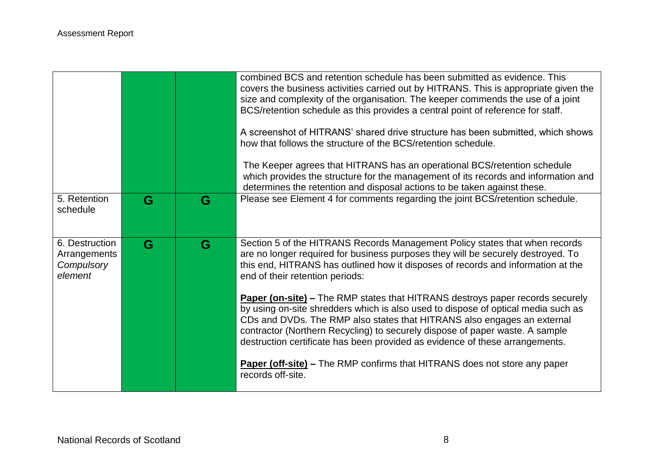|                                                         |   |   | combined BCS and retention schedule has been submitted as evidence. This<br>covers the business activities carried out by HITRANS. This is appropriate given the<br>size and complexity of the organisation. The keeper commends the use of a joint<br>BCS/retention schedule as this provides a central point of reference for staff.<br>A screenshot of HITRANS' shared drive structure has been submitted, which shows<br>how that follows the structure of the BCS/retention schedule.<br>The Keeper agrees that HITRANS has an operational BCS/retention schedule<br>which provides the structure for the management of its records and information and<br>determines the retention and disposal actions to be taken against these. |
|---------------------------------------------------------|---|---|------------------------------------------------------------------------------------------------------------------------------------------------------------------------------------------------------------------------------------------------------------------------------------------------------------------------------------------------------------------------------------------------------------------------------------------------------------------------------------------------------------------------------------------------------------------------------------------------------------------------------------------------------------------------------------------------------------------------------------------|
| 5. Retention<br>schedule                                | G | G | Please see Element 4 for comments regarding the joint BCS/retention schedule.                                                                                                                                                                                                                                                                                                                                                                                                                                                                                                                                                                                                                                                            |
| 6. Destruction<br>Arrangements<br>Compulsory<br>element | G | G | Section 5 of the HITRANS Records Management Policy states that when records<br>are no longer required for business purposes they will be securely destroyed. To<br>this end, HITRANS has outlined how it disposes of records and information at the<br>end of their retention periods:                                                                                                                                                                                                                                                                                                                                                                                                                                                   |
|                                                         |   |   | <b>Paper (on-site) – The RMP states that HITRANS destroys paper records securely</b><br>by using on-site shredders which is also used to dispose of optical media such as<br>CDs and DVDs. The RMP also states that HITRANS also engages an external<br>contractor (Northern Recycling) to securely dispose of paper waste. A sample<br>destruction certificate has been provided as evidence of these arrangements.                                                                                                                                                                                                                                                                                                                     |
|                                                         |   |   | <b>Paper (off-site) – The RMP confirms that HITRANS does not store any paper</b><br>records off-site.                                                                                                                                                                                                                                                                                                                                                                                                                                                                                                                                                                                                                                    |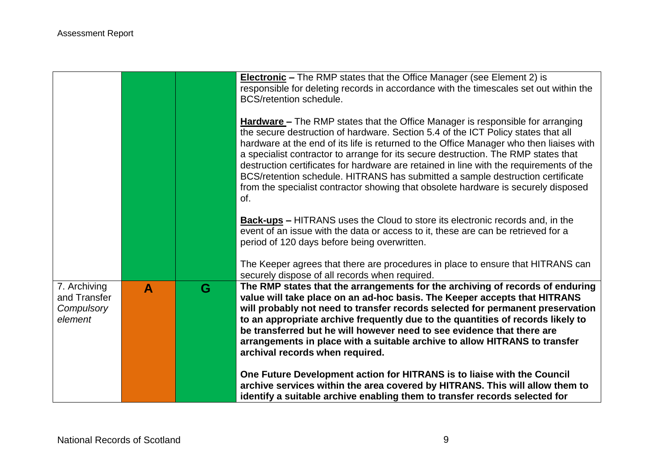|                                                       |                  |   | <b>Electronic</b> – The RMP states that the Office Manager (see Element 2) is<br>responsible for deleting records in accordance with the timescales set out within the<br>BCS/retention schedule.                                                                                                                                                                                                                                                                                                                                                                                                                                     |
|-------------------------------------------------------|------------------|---|---------------------------------------------------------------------------------------------------------------------------------------------------------------------------------------------------------------------------------------------------------------------------------------------------------------------------------------------------------------------------------------------------------------------------------------------------------------------------------------------------------------------------------------------------------------------------------------------------------------------------------------|
|                                                       |                  |   | <b>Hardware</b> – The RMP states that the Office Manager is responsible for arranging<br>the secure destruction of hardware. Section 5.4 of the ICT Policy states that all<br>hardware at the end of its life is returned to the Office Manager who then liaises with<br>a specialist contractor to arrange for its secure destruction. The RMP states that<br>destruction certificates for hardware are retained in line with the requirements of the<br>BCS/retention schedule. HITRANS has submitted a sample destruction certificate<br>from the specialist contractor showing that obsolete hardware is securely disposed<br>of. |
|                                                       |                  |   | <b>Back-ups</b> – HITRANS uses the Cloud to store its electronic records and, in the<br>event of an issue with the data or access to it, these are can be retrieved for a<br>period of 120 days before being overwritten.                                                                                                                                                                                                                                                                                                                                                                                                             |
|                                                       |                  |   | The Keeper agrees that there are procedures in place to ensure that HITRANS can<br>securely dispose of all records when required.                                                                                                                                                                                                                                                                                                                                                                                                                                                                                                     |
| 7. Archiving<br>and Transfer<br>Compulsory<br>element | $\blacktriangle$ | G | The RMP states that the arrangements for the archiving of records of enduring<br>value will take place on an ad-hoc basis. The Keeper accepts that HITRANS<br>will probably not need to transfer records selected for permanent preservation<br>to an appropriate archive frequently due to the quantities of records likely to<br>be transferred but he will however need to see evidence that there are<br>arrangements in place with a suitable archive to allow HITRANS to transfer<br>archival records when required.                                                                                                            |
|                                                       |                  |   | One Future Development action for HITRANS is to liaise with the Council<br>archive services within the area covered by HITRANS. This will allow them to<br>identify a suitable archive enabling them to transfer records selected for                                                                                                                                                                                                                                                                                                                                                                                                 |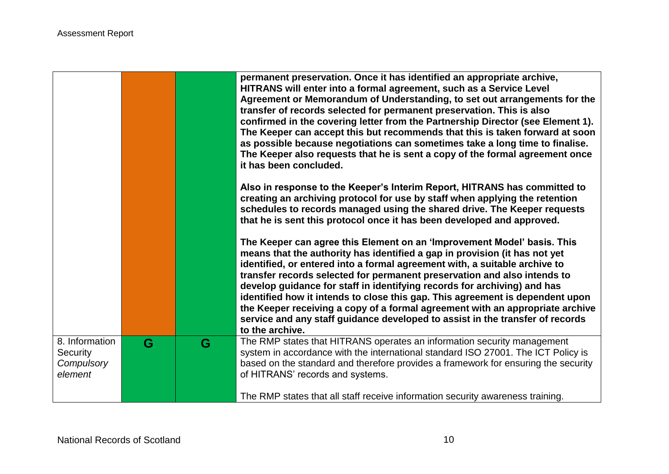|                                                     |   |   | permanent preservation. Once it has identified an appropriate archive,<br>HITRANS will enter into a formal agreement, such as a Service Level<br>Agreement or Memorandum of Understanding, to set out arrangements for the<br>transfer of records selected for permanent preservation. This is also<br>confirmed in the covering letter from the Partnership Director (see Element 1).<br>The Keeper can accept this but recommends that this is taken forward at soon<br>as possible because negotiations can sometimes take a long time to finalise.<br>The Keeper also requests that he is sent a copy of the formal agreement once<br>it has been concluded.  |
|-----------------------------------------------------|---|---|-------------------------------------------------------------------------------------------------------------------------------------------------------------------------------------------------------------------------------------------------------------------------------------------------------------------------------------------------------------------------------------------------------------------------------------------------------------------------------------------------------------------------------------------------------------------------------------------------------------------------------------------------------------------|
|                                                     |   |   | Also in response to the Keeper's Interim Report, HITRANS has committed to<br>creating an archiving protocol for use by staff when applying the retention<br>schedules to records managed using the shared drive. The Keeper requests<br>that he is sent this protocol once it has been developed and approved.                                                                                                                                                                                                                                                                                                                                                    |
|                                                     |   |   | The Keeper can agree this Element on an 'Improvement Model' basis. This<br>means that the authority has identified a gap in provision (it has not yet<br>identified, or entered into a formal agreement with, a suitable archive to<br>transfer records selected for permanent preservation and also intends to<br>develop guidance for staff in identifying records for archiving) and has<br>identified how it intends to close this gap. This agreement is dependent upon<br>the Keeper receiving a copy of a formal agreement with an appropriate archive<br>service and any staff guidance developed to assist in the transfer of records<br>to the archive. |
| 8. Information<br>Security<br>Compulsory<br>element | G | G | The RMP states that HITRANS operates an information security management<br>system in accordance with the international standard ISO 27001. The ICT Policy is<br>based on the standard and therefore provides a framework for ensuring the security<br>of HITRANS' records and systems.                                                                                                                                                                                                                                                                                                                                                                            |
|                                                     |   |   | The RMP states that all staff receive information security awareness training.                                                                                                                                                                                                                                                                                                                                                                                                                                                                                                                                                                                    |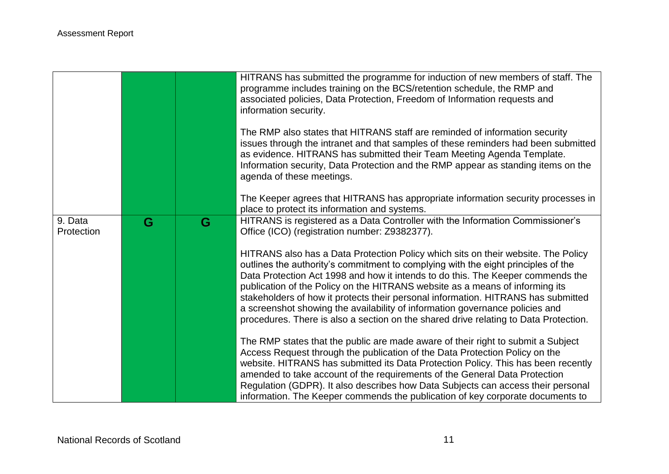|                       |   |   | HITRANS has submitted the programme for induction of new members of staff. The<br>programme includes training on the BCS/retention schedule, the RMP and<br>associated policies, Data Protection, Freedom of Information requests and<br>information security.                                                                                                                                                                                                                                                                                                                                         |
|-----------------------|---|---|--------------------------------------------------------------------------------------------------------------------------------------------------------------------------------------------------------------------------------------------------------------------------------------------------------------------------------------------------------------------------------------------------------------------------------------------------------------------------------------------------------------------------------------------------------------------------------------------------------|
|                       |   |   | The RMP also states that HITRANS staff are reminded of information security<br>issues through the intranet and that samples of these reminders had been submitted<br>as evidence. HITRANS has submitted their Team Meeting Agenda Template.<br>Information security, Data Protection and the RMP appear as standing items on the<br>agenda of these meetings.                                                                                                                                                                                                                                          |
|                       |   |   | The Keeper agrees that HITRANS has appropriate information security processes in<br>place to protect its information and systems.                                                                                                                                                                                                                                                                                                                                                                                                                                                                      |
| 9. Data<br>Protection | G | G | HITRANS is registered as a Data Controller with the Information Commissioner's<br>Office (ICO) (registration number: Z9382377).                                                                                                                                                                                                                                                                                                                                                                                                                                                                        |
|                       |   |   | HITRANS also has a Data Protection Policy which sits on their website. The Policy<br>outlines the authority's commitment to complying with the eight principles of the<br>Data Protection Act 1998 and how it intends to do this. The Keeper commends the<br>publication of the Policy on the HITRANS website as a means of informing its<br>stakeholders of how it protects their personal information. HITRANS has submitted<br>a screenshot showing the availability of information governance policies and<br>procedures. There is also a section on the shared drive relating to Data Protection. |
|                       |   |   | The RMP states that the public are made aware of their right to submit a Subject<br>Access Request through the publication of the Data Protection Policy on the<br>website. HITRANS has submitted its Data Protection Policy. This has been recently<br>amended to take account of the requirements of the General Data Protection<br>Regulation (GDPR). It also describes how Data Subjects can access their personal<br>information. The Keeper commends the publication of key corporate documents to                                                                                               |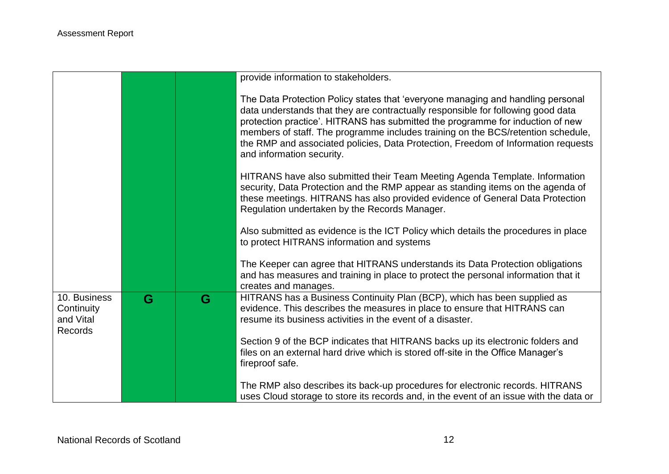|                                                           |   |   | provide information to stakeholders.                                                                                                                                                                                                                                                                                                                                                                                                                        |
|-----------------------------------------------------------|---|---|-------------------------------------------------------------------------------------------------------------------------------------------------------------------------------------------------------------------------------------------------------------------------------------------------------------------------------------------------------------------------------------------------------------------------------------------------------------|
|                                                           |   |   | The Data Protection Policy states that 'everyone managing and handling personal<br>data understands that they are contractually responsible for following good data<br>protection practice'. HITRANS has submitted the programme for induction of new<br>members of staff. The programme includes training on the BCS/retention schedule,<br>the RMP and associated policies, Data Protection, Freedom of Information requests<br>and information security. |
|                                                           |   |   | HITRANS have also submitted their Team Meeting Agenda Template. Information<br>security, Data Protection and the RMP appear as standing items on the agenda of<br>these meetings. HITRANS has also provided evidence of General Data Protection<br>Regulation undertaken by the Records Manager.                                                                                                                                                            |
|                                                           |   |   | Also submitted as evidence is the ICT Policy which details the procedures in place<br>to protect HITRANS information and systems                                                                                                                                                                                                                                                                                                                            |
|                                                           |   |   | The Keeper can agree that HITRANS understands its Data Protection obligations<br>and has measures and training in place to protect the personal information that it<br>creates and manages.                                                                                                                                                                                                                                                                 |
| 10. Business<br>Continuity<br>and Vital<br><b>Records</b> | G | G | HITRANS has a Business Continuity Plan (BCP), which has been supplied as<br>evidence. This describes the measures in place to ensure that HITRANS can<br>resume its business activities in the event of a disaster.                                                                                                                                                                                                                                         |
|                                                           |   |   | Section 9 of the BCP indicates that HITRANS backs up its electronic folders and<br>files on an external hard drive which is stored off-site in the Office Manager's<br>fireproof safe.                                                                                                                                                                                                                                                                      |
|                                                           |   |   | The RMP also describes its back-up procedures for electronic records. HITRANS<br>uses Cloud storage to store its records and, in the event of an issue with the data or                                                                                                                                                                                                                                                                                     |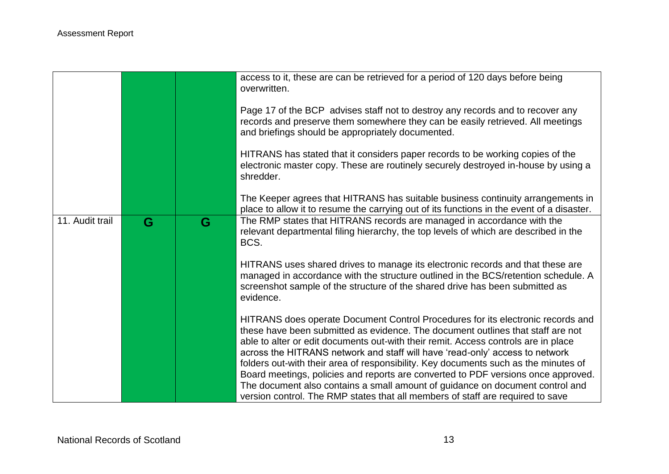|                 |   |   | access to it, these are can be retrieved for a period of 120 days before being<br>overwritten.                                                                                                                                                                                                                                                                                                                                  |
|-----------------|---|---|---------------------------------------------------------------------------------------------------------------------------------------------------------------------------------------------------------------------------------------------------------------------------------------------------------------------------------------------------------------------------------------------------------------------------------|
|                 |   |   | Page 17 of the BCP advises staff not to destroy any records and to recover any<br>records and preserve them somewhere they can be easily retrieved. All meetings<br>and briefings should be appropriately documented.                                                                                                                                                                                                           |
|                 |   |   | HITRANS has stated that it considers paper records to be working copies of the<br>electronic master copy. These are routinely securely destroyed in-house by using a<br>shredder.                                                                                                                                                                                                                                               |
|                 |   |   | The Keeper agrees that HITRANS has suitable business continuity arrangements in<br>place to allow it to resume the carrying out of its functions in the event of a disaster.                                                                                                                                                                                                                                                    |
| 11. Audit trail | G | G | The RMP states that HITRANS records are managed in accordance with the<br>relevant departmental filing hierarchy, the top levels of which are described in the<br>BCS.                                                                                                                                                                                                                                                          |
|                 |   |   | HITRANS uses shared drives to manage its electronic records and that these are<br>managed in accordance with the structure outlined in the BCS/retention schedule. A<br>screenshot sample of the structure of the shared drive has been submitted as<br>evidence.                                                                                                                                                               |
|                 |   |   | HITRANS does operate Document Control Procedures for its electronic records and<br>these have been submitted as evidence. The document outlines that staff are not<br>able to alter or edit documents out-with their remit. Access controls are in place<br>across the HITRANS network and staff will have 'read-only' access to network<br>folders out-with their area of responsibility. Key documents such as the minutes of |
|                 |   |   | Board meetings, policies and reports are converted to PDF versions once approved.<br>The document also contains a small amount of guidance on document control and<br>version control. The RMP states that all members of staff are required to save                                                                                                                                                                            |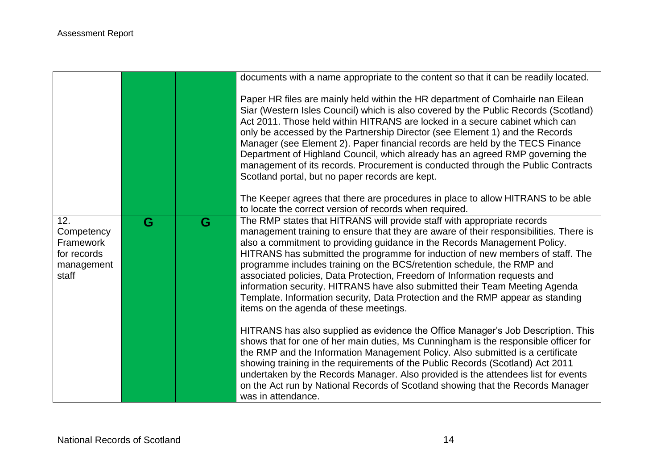|                                                               |   |   | documents with a name appropriate to the content so that it can be readily located.                                                                                                                                                                                                                                                                                                                                                                                                                                                                                                                                                                                                                                                 |
|---------------------------------------------------------------|---|---|-------------------------------------------------------------------------------------------------------------------------------------------------------------------------------------------------------------------------------------------------------------------------------------------------------------------------------------------------------------------------------------------------------------------------------------------------------------------------------------------------------------------------------------------------------------------------------------------------------------------------------------------------------------------------------------------------------------------------------------|
|                                                               |   |   | Paper HR files are mainly held within the HR department of Comhairle nan Eilean<br>Siar (Western Isles Council) which is also covered by the Public Records (Scotland)<br>Act 2011. Those held within HITRANS are locked in a secure cabinet which can<br>only be accessed by the Partnership Director (see Element 1) and the Records<br>Manager (see Element 2). Paper financial records are held by the TECS Finance<br>Department of Highland Council, which already has an agreed RMP governing the<br>management of its records. Procurement is conducted through the Public Contracts<br>Scotland portal, but no paper records are kept.<br>The Keeper agrees that there are procedures in place to allow HITRANS to be able |
| 12.                                                           | G | G | to locate the correct version of records when required.<br>The RMP states that HITRANS will provide staff with appropriate records                                                                                                                                                                                                                                                                                                                                                                                                                                                                                                                                                                                                  |
| Competency<br>Framework<br>for records<br>management<br>staff |   |   | management training to ensure that they are aware of their responsibilities. There is<br>also a commitment to providing guidance in the Records Management Policy.<br>HITRANS has submitted the programme for induction of new members of staff. The<br>programme includes training on the BCS/retention schedule, the RMP and<br>associated policies, Data Protection, Freedom of Information requests and<br>information security. HITRANS have also submitted their Team Meeting Agenda<br>Template. Information security, Data Protection and the RMP appear as standing<br>items on the agenda of these meetings.                                                                                                              |
|                                                               |   |   | HITRANS has also supplied as evidence the Office Manager's Job Description. This<br>shows that for one of her main duties, Ms Cunningham is the responsible officer for<br>the RMP and the Information Management Policy. Also submitted is a certificate<br>showing training in the requirements of the Public Records (Scotland) Act 2011<br>undertaken by the Records Manager. Also provided is the attendees list for events<br>on the Act run by National Records of Scotland showing that the Records Manager<br>was in attendance.                                                                                                                                                                                           |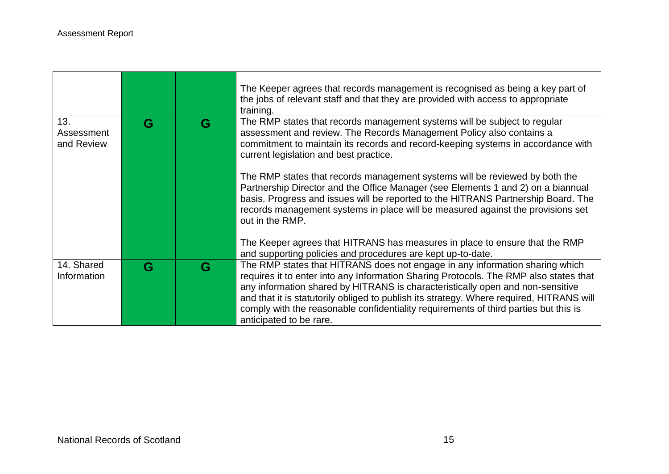|                           |   |   | The Keeper agrees that records management is recognised as being a key part of<br>the jobs of relevant staff and that they are provided with access to appropriate<br>training.                                                                                                                                                                            |
|---------------------------|---|---|------------------------------------------------------------------------------------------------------------------------------------------------------------------------------------------------------------------------------------------------------------------------------------------------------------------------------------------------------------|
| 13.<br>Assessment         | G | G | The RMP states that records management systems will be subject to regular<br>assessment and review. The Records Management Policy also contains a                                                                                                                                                                                                          |
| and Review                |   |   | commitment to maintain its records and record-keeping systems in accordance with<br>current legislation and best practice.                                                                                                                                                                                                                                 |
|                           |   |   | The RMP states that records management systems will be reviewed by both the<br>Partnership Director and the Office Manager (see Elements 1 and 2) on a biannual<br>basis. Progress and issues will be reported to the HITRANS Partnership Board. The<br>records management systems in place will be measured against the provisions set<br>out in the RMP. |
|                           |   |   | The Keeper agrees that HITRANS has measures in place to ensure that the RMP                                                                                                                                                                                                                                                                                |
|                           |   |   | and supporting policies and procedures are kept up-to-date.                                                                                                                                                                                                                                                                                                |
| 14. Shared<br>Information | G | G | The RMP states that HITRANS does not engage in any information sharing which<br>requires it to enter into any Information Sharing Protocols. The RMP also states that                                                                                                                                                                                      |
|                           |   |   | any information shared by HITRANS is characteristically open and non-sensitive                                                                                                                                                                                                                                                                             |
|                           |   |   | and that it is statutorily obliged to publish its strategy. Where required, HITRANS will                                                                                                                                                                                                                                                                   |
|                           |   |   | comply with the reasonable confidentiality requirements of third parties but this is                                                                                                                                                                                                                                                                       |
|                           |   |   | anticipated to be rare.                                                                                                                                                                                                                                                                                                                                    |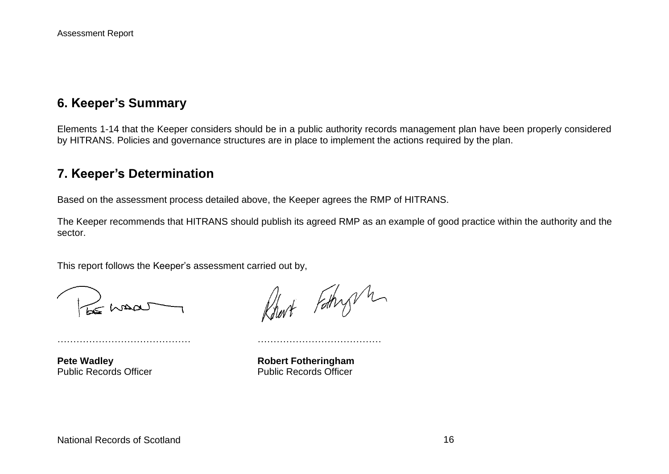## **6. Keeper's Summary**

Elements 1-14 that the Keeper considers should be in a public authority records management plan have been properly considered by HITRANS. Policies and governance structures are in place to implement the actions required by the plan.

## **7. Keeper's Determination**

Based on the assessment process detailed above, the Keeper agrees the RMP of HITRANS.

…………………………………… …………………………………

The Keeper recommends that HITRANS should publish its agreed RMP as an example of good practice within the authority and the sector.

This report follows the Keeper's assessment carried out by,

LE MAQU

Robert Fathry m

**Pete Wadley <b>Robert Fotheringham** Public Records Officer **Public Records Officer**